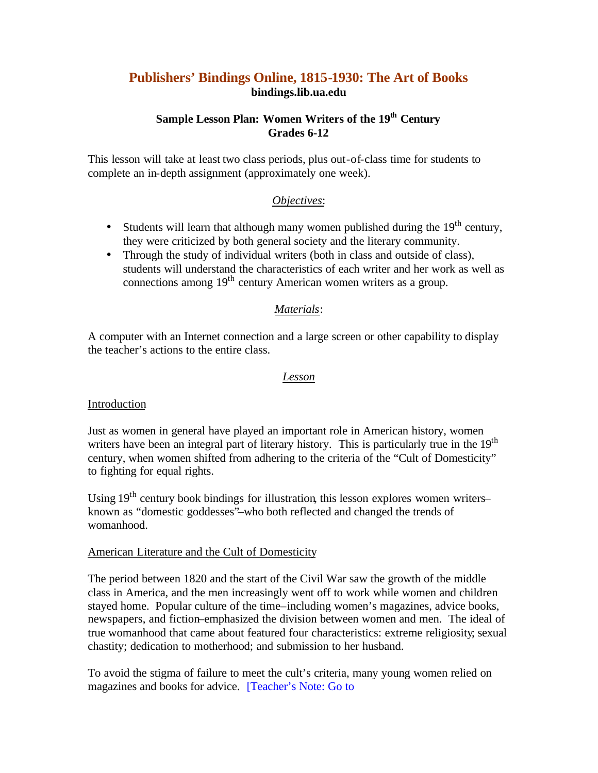# **Publishers' Bindings Online, 1815-1930: The Art of Books bindings.lib.ua.edu**

# **Sample Lesson Plan: Women Writers of the 19th Century Grades 6-12**

This lesson will take at least two class periods, plus out-of-class time for students to complete an in-depth assignment (approximately one week).

## *Objectives*:

- Students will learn that although many women published during the  $19<sup>th</sup>$  century, they were criticized by both general society and the literary community.
- Through the study of individual writers (both in class and outside of class), students will understand the characteristics of each writer and her work as well as connections among  $19<sup>th</sup>$  century American women writers as a group.

### *Materials*:

A computer with an Internet connection and a large screen or other capability to display the teacher's actions to the entire class.

### *Lesson*

#### Introduction

Just as women in general have played an important role in American history, women writers have been an integral part of literary history. This is particularly true in the 19<sup>th</sup> century, when women shifted from adhering to the criteria of the "Cult of Domesticity" to fighting for equal rights.

Using  $19<sup>th</sup>$  century book bindings for illustration, this lesson explores women writers– known as "domestic goddesses"–who both reflected and changed the trends of womanhood.

#### American Literature and the Cult of Domesticity

The period between 1820 and the start of the Civil War saw the growth of the middle class in America, and the men increasingly went off to work while women and children stayed home. Popular culture of the time–including women's magazines, advice books, newspapers, and fiction–emphasized the division between women and men. The ideal of true womanhood that came about featured four characteristics: extreme religiosity; sexual chastity; dedication to motherhood; and submission to her husband.

To avoid the stigma of failure to meet the cult's criteria, many young women relied on magazines and books for advice. [Teacher's Note: Go to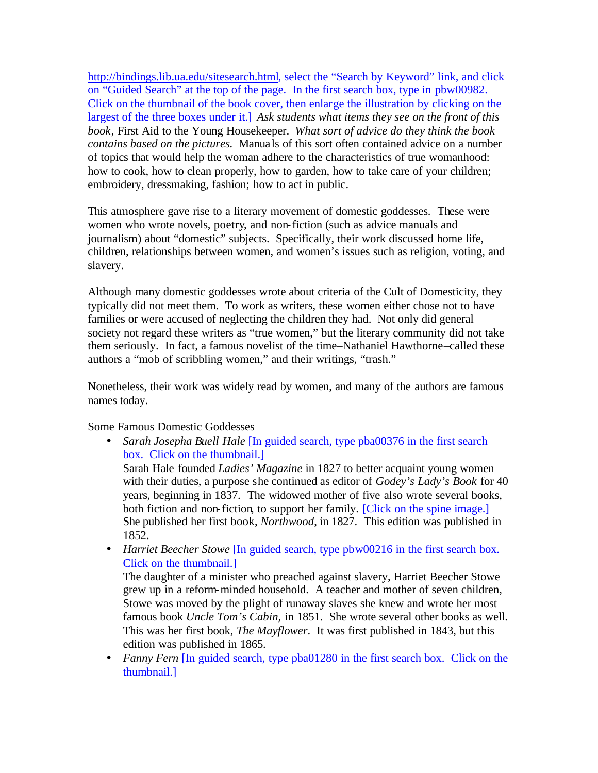http://bindings.lib.ua.edu/sitesearch.html, select the "Search by Keyword" link, and click on "Guided Search" at the top of the page. In the first search box, type in pbw00982. Click on the thumbnail of the book cover, then enlarge the illustration by clicking on the largest of the three boxes under it.] *Ask students what items they see on the front of this book*, First Aid to the Young Housekeeper. *What sort of advice do they think the book contains based on the pictures.* Manuals of this sort often contained advice on a number of topics that would help the woman adhere to the characteristics of true womanhood: how to cook, how to clean properly, how to garden, how to take care of your children; embroidery, dressmaking, fashion; how to act in public.

This atmosphere gave rise to a literary movement of domestic goddesses. These were women who wrote novels, poetry, and non-fiction (such as advice manuals and journalism) about "domestic" subjects. Specifically, their work discussed home life, children, relationships between women, and women's issues such as religion, voting, and slavery.

Although many domestic goddesses wrote about criteria of the Cult of Domesticity, they typically did not meet them. To work as writers, these women either chose not to have families or were accused of neglecting the children they had. Not only did general society not regard these writers as "true women," but the literary community did not take them seriously. In fact, a famous novelist of the time–Nathaniel Hawthorne–called these authors a "mob of scribbling women," and their writings, "trash."

Nonetheless, their work was widely read by women, and many of the authors are famous names today.

Some Famous Domestic Goddesses

• *Sarah Josepha Buell Hale* [In guided search, type pba00376 in the first search box. Click on the thumbnail.]

Sarah Hale founded *Ladies' Magazine* in 1827 to better acquaint young women with their duties, a purpose she continued as editor of *Godey's Lady's Book* for 40 years, beginning in 1837. The widowed mother of five also wrote several books, both fiction and non-fiction, to support her family. [Click on the spine image.] She published her first book, *Northwood*, in 1827. This edition was published in 1852.

• *Harriet Beecher Stowe* [In guided search, type pbw00216 in the first search box. Click on the thumbnail.]

The daughter of a minister who preached against slavery, Harriet Beecher Stowe grew up in a reform-minded household. A teacher and mother of seven children, Stowe was moved by the plight of runaway slaves she knew and wrote her most famous book *Uncle Tom's Cabin,* in 1851. She wrote several other books as well. This was her first book, *The Mayflower*. It was first published in 1843, but this edition was published in 1865.

• *Fanny Fern* [In guided search, type pba01280 in the first search box. Click on the thumbnail.]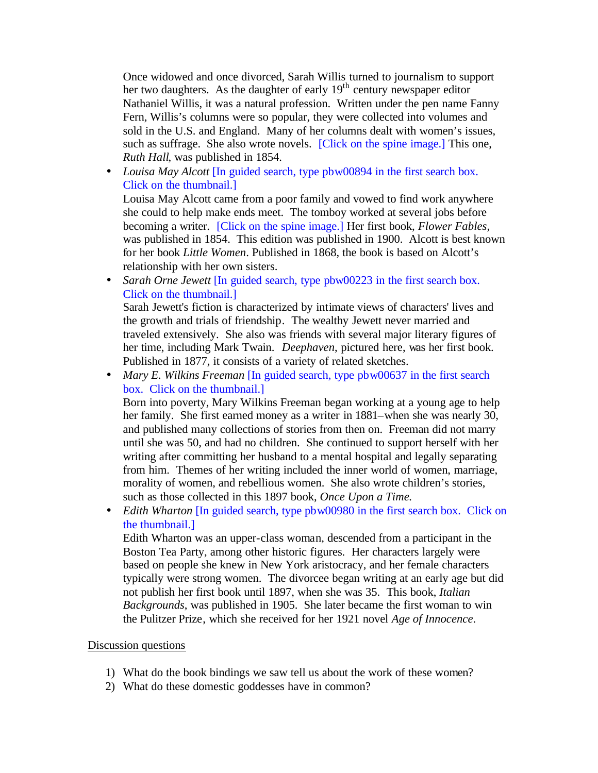Once widowed and once divorced, Sarah Willis turned to journalism to support her two daughters. As the daughter of early  $19<sup>th</sup>$  century newspaper editor Nathaniel Willis, it was a natural profession. Written under the pen name Fanny Fern, Willis's columns were so popular, they were collected into volumes and sold in the U.S. and England. Many of her columns dealt with women's issues, such as suffrage. She also wrote novels. [Click on the spine image.] This one, *Ruth Hall*, was published in 1854.

• *Louisa May Alcott* [In guided search, type pbw00894 in the first search box. Click on the thumbnail.]

Louisa May Alcott came from a poor family and vowed to find work anywhere she could to help make ends meet. The tomboy worked at several jobs before becoming a writer. [Click on the spine image.] Her first book, *Flower Fables,*  was published in 1854. This edition was published in 1900. Alcott is best known for her book *Little Women*. Published in 1868, the book is based on Alcott's relationship with her own sisters.

• *Sarah Orne Jewett* [In guided search, type pbw00223 in the first search box. Click on the thumbnail.]

Sarah Jewett's fiction is characterized by intimate views of characters' lives and the growth and trials of friendship. The wealthy Jewett never married and traveled extensively. She also was friends with several major literary figures of her time, including Mark Twain. *Deephaven*, pictured here, was her first book. Published in 1877, it consists of a variety of related sketches.

• *Mary E. Wilkins Freeman* [In guided search, type pbw00637 in the first search box. Click on the thumbnail.]

Born into poverty, Mary Wilkins Freeman began working at a young age to help her family. She first earned money as a writer in 1881–when she was nearly 30, and published many collections of stories from then on. Freeman did not marry until she was 50, and had no children. She continued to support herself with her writing after committing her husband to a mental hospital and legally separating from him. Themes of her writing included the inner world of women, marriage, morality of women, and rebellious women. She also wrote children's stories, such as those collected in this 1897 book, *Once Upon a Time.*

• *Edith Wharton* [In guided search, type pbw00980 in the first search box. Click on the thumbnail.]

Edith Wharton was an upper-class woman, descended from a participant in the Boston Tea Party, among other historic figures. Her characters largely were based on people she knew in New York aristocracy, and her female characters typically were strong women. The divorcee began writing at an early age but did not publish her first book until 1897, when she was 35. This book, *Italian Backgrounds*, was published in 1905. She later became the first woman to win the Pulitzer Prize, which she received for her 1921 novel *Age of Innocence*.

#### Discussion questions

- 1) What do the book bindings we saw tell us about the work of these women?
- 2) What do these domestic goddesses have in common?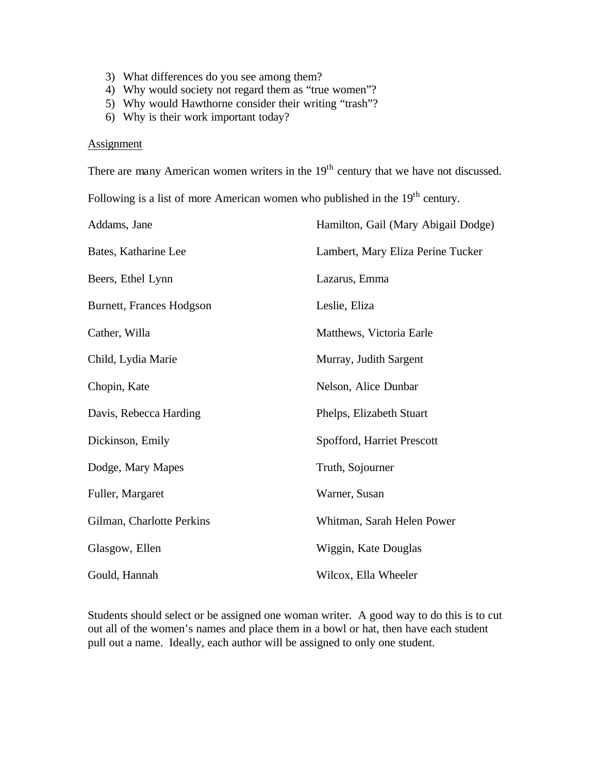- 3) What differences do you see among them?
- 4) Why would society not regard them as "true women"?
- 5) Why would Hawthorne consider their writing "trash"?
- 6) Why is their work important today?

#### **Assignment**

There are many American women writers in the 19<sup>th</sup> century that we have not discussed.

Following is a list of more American women who published in the  $19<sup>th</sup>$  century.

| Addams, Jane              | Hamilton, Gail (Mary Abigail Dodge) |
|---------------------------|-------------------------------------|
| Bates, Katharine Lee      | Lambert, Mary Eliza Perine Tucker   |
| Beers, Ethel Lynn         | Lazarus, Emma                       |
| Burnett, Frances Hodgson  | Leslie, Eliza                       |
| Cather, Willa             | Matthews, Victoria Earle            |
| Child, Lydia Marie        | Murray, Judith Sargent              |
| Chopin, Kate              | Nelson, Alice Dunbar                |
| Davis, Rebecca Harding    | Phelps, Elizabeth Stuart            |
| Dickinson, Emily          | Spofford, Harriet Prescott          |
| Dodge, Mary Mapes         | Truth, Sojourner                    |
| Fuller, Margaret          | Warner, Susan                       |
| Gilman, Charlotte Perkins | Whitman, Sarah Helen Power          |
| Glasgow, Ellen            | Wiggin, Kate Douglas                |
| Gould, Hannah             | Wilcox, Ella Wheeler                |

Students should select or be assigned one woman writer. A good way to do this is to cut out all of the women's names and place them in a bowl or hat, then have each student pull out a name. Ideally, each author will be assigned to only one student.